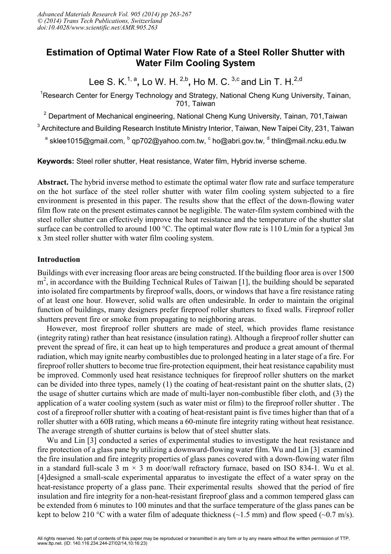# **Estimation of Optimal Water Flow Rate of a Steel Roller Shutter with Water Film Cooling System**

Lee S. K.<sup>1, a</sup>, Lo W. H. <sup>2,b</sup>, Ho M. C. <sup>3,c</sup> and Lin T. H.<sup>2,d</sup>

<sup>1</sup>Research Center for Energy Technology and Strategy, National Cheng Kung University, Tainan, 701, Taiwan

<sup>2</sup> Department of Mechanical engineering, National Cheng Kung University, Tainan, 701,Taiwan

 $^3$  Architecture and Building Research Institute Ministry Interior, Taiwan, New Taipei City, 231, Taiwan

<sup>a</sup> sklee1015@gmail.com, <sup>b</sup> qp702@yahoo.com.tw, <sup>c</sup> ho@abri.gov.tw, <sup>d</sup> thlin@mail.ncku.edu.tw

**Keywords:** Steel roller shutter, Heat resistance, Water film, Hybrid inverse scheme.

**Abstract.** The hybrid inverse method to estimate the optimal water flow rate and surface temperature on the hot surface of the steel roller shutter with water film cooling system subjected to a fire environment is presented in this paper. The results show that the effect of the down-flowing water film flow rate on the present estimates cannot be negligible. The water-film system combined with the steel roller shutter can effectively improve the heat resistance and the temperature of the shutter slat surface can be controlled to around 100 °C. The optimal water flow rate is 110 L/min for a typical 3m x 3m steel roller shutter with water film cooling system.

# **Introduction**

Buildings with ever increasing floor areas are being constructed. If the building floor area is over 1500  $m<sup>2</sup>$ , in accordance with the Building Technical Rules of Taiwan [1], the building should be separated into isolated fire compartments by fireproof walls, doors, or windows that have a fire resistance rating of at least one hour. However, solid walls are often undesirable. In order to maintain the original function of buildings, many designers prefer fireproof roller shutters to fixed walls. Fireproof roller shutters prevent fire or smoke from propagating to neighboring areas.

However, most fireproof roller shutters are made of steel, which provides flame resistance (integrity rating) rather than heat resistance (insulation rating). Although a fireproof roller shutter can prevent the spread of fire, it can heat up to high temperatures and produce a great amount of thermal radiation, which may ignite nearby combustibles due to prolonged heating in a later stage of a fire. For fireproof roller shutters to become true fire-protection equipment, their heat resistance capability must be improved. Commonly used heat resistance techniques for fireproof roller shutters on the market can be divided into three types, namely (1) the coating of heat-resistant paint on the shutter slats, (2) the usage of shutter curtains which are made of multi-layer non-combustible fiber cloth, and (3) the application of a water cooling system (such as water mist or film) to the fireproof roller shutter . The cost of a fireproof roller shutter with a coating of heat-resistant paint is five times higher than that of a roller shutter with a 60B rating, which means a 60-minute fire integrity rating without heat resistance. The average strength of shutter curtains is below that of steel shutter slats.

Wu and Lin [3] conducted a series of experimental studies to investigate the heat resistance and fire protection of a glass pane by utilizing a downward-flowing water film. Wu and Lin [3] examined the fire insulation and fire integrity properties of glass panes covered with a down-flowing water film in a standard full-scale 3 m  $\times$  3 m door/wall refractory furnace, based on ISO 834-1. Wu et al. [4]designed a small-scale experimental apparatus to investigate the effect of a water spray on the heat-resistance property of a glass pane. Their experimental results showed that the period of fire insulation and fire integrity for a non-heat-resistant fireproof glass and a common tempered glass can be extended from 6 minutes to 100 minutes and that the surface temperature of the glass panes can be kept to below 210 °C with a water film of adequate thickness ( $\sim$ 1.5 mm) and flow speed ( $\sim$ 0.7 m/s).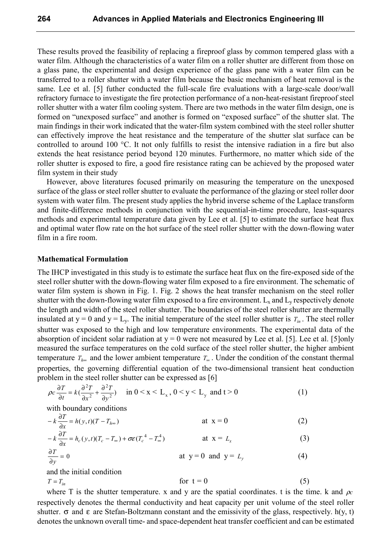These results proved the feasibility of replacing a fireproof glass by common tempered glass with a water film. Although the characteristics of a water film on a roller shutter are different from those on a glass pane, the experimental and design experience of the glass pane with a water film can be transferred to a roller shutter with a water film because the basic mechanism of heat removal is the same. Lee et al. [5] futher conducted the full-scale fire evaluations with a large-scale door/wall refractory furnace to investigate the fire protection performance of a non-heat-resistant fireproof steel roller shutter with a water film cooling system. There are two methods in the water film design, one is formed on "unexposed surface" and another is formed on "exposed surface" of the shutter slat. The main findings in their work indicated that the water-film system combined with the steel roller shutter can effectively improve the heat resistance and the temperature of the shutter slat surface can be controlled to around 100 °C. It not only fulfills to resist the intensive radiation in a fire but also extends the heat resistance period beyond 120 minutes. Furthermore, no matter which side of the roller shutter is exposed to fire, a good fire resistance rating can be achieved by the proposed water film system in their study

However, above literatures focused primarily on measuring the temperature on the unexposed surface of the glass or steel roller shutter to evaluate the performance of the glazing or steel roller door system with water film. The present study applies the hybrid inverse scheme of the Laplace transform and finite-difference methods in conjunction with the sequential-in-time procedure, least-squares methods and experimental temperature data given by Lee et al. [5] to estimate the surface heat flux and optimal water flow rate on the hot surface of the steel roller shutter with the down-flowing water film in a fire room.

## **Mathematical Formulation**

The IHCP investigated in this study is to estimate the surface heat flux on the fire-exposed side of the steel roller shutter with the down-flowing water film exposed to a fire environment. The schematic of water film system is shown in Fig. 1. Fig. 2 shows the heat transfer mechanism on the steel roller shutter with the down-flowing water film exposed to a fire environment.  $L_x$  and  $L_y$  respectively denote the length and width of the steel roller shutter. The boundaries of the steel roller shutter are thermally insulated at  $y = 0$  and  $y = L_y$ . The initial temperature of the steel roller shutter is  $T_{in}$ . The steel roller shutter was exposed to the high and low temperature environments. The experimental data of the absorption of incident solar radiation at  $y = 0$  were not measured by Lee et al. [5]. Lee et al. [5]only measured the surface temperatures on the cold surface of the steel roller shutter, the higher ambient temperature  $T_{h\infty}$  and the lower ambient temperature  $T_{\infty}$ . Under the condition of the constant thermal properties, the governing differential equation of the two-dimensional transient heat conduction problem in the steel roller shutter can be expressed as [6]

$$
\rho c \frac{\partial T}{\partial t} = k \left( \frac{\partial^2 T}{\partial x^2} + \frac{\partial^2 T}{\partial y^2} \right) \quad \text{in } 0 < x < L_x, \, 0 < y < L_y \text{ and } t > 0 \tag{1}
$$

with boundary conditions

$$
-k\frac{\partial T}{\partial x} = h(y, t)(T - T_{h\infty}) \qquad \text{at } x = 0 \qquad (2)
$$
  

$$
-k\frac{\partial T}{\partial x} = h_c(y, t)(T_c - T_{\infty}) + \sigma\varepsilon(T_c^4 - T_{\infty}^4) \qquad \text{at } x = L_x \qquad (3)
$$

$$
\frac{\partial T}{\partial y} = 0 \qquad \text{at } y = 0 \text{ and } y = L_y \tag{4}
$$

and the initial condition

$$
T = T_{in} \tag{5}
$$

where T is the shutter temperature. x and y are the spatial coordinates. t is the time. k and  $\rho c$ respectively denotes the thermal conductivity and heat capacity per unit volume of the steel roller shutter.  $\sigma$  and  $\varepsilon$  are Stefan-Boltzmann constant and the emissivity of the glass, respectively.  $h(y, t)$ denotes the unknown overall time- and space-dependent heat transfer coefficient and can be estimated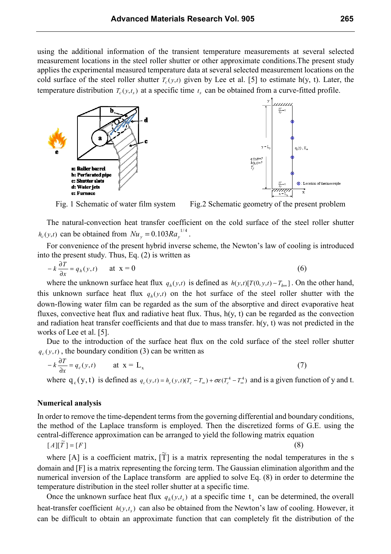using the additional information of the transient temperature measurements at several selected measurement locations in the steel roller shutter or other approximate conditions.The present study applies the experimental measured temperature data at several selected measurement locations on the cold surface of the steel roller shutter  $T_c(y,t)$  given by Lee et al. [5] to estimate h(y, t). Later, the temperature distribution  $T_c(y,t_s)$  at a specific time  $t_s$  can be obtained from a curve-fitted profile.





Fig. 1 Schematic of water film system Fig.2 Schematic geometry of the present problem

The natural-convection heat transfer coefficient on the cold surface of the steel roller shutter  $h_c(y,t)$  can be obtained from  $Nu_y = 0.103 Ra_y^{1/4}$ .

For convenience of the present hybrid inverse scheme, the Newton's law of cooling is introduced into the present study. Thus, Eq. (2) is written as

$$
-k\frac{\partial T}{\partial x} = q_h(y,t) \qquad \text{at } x = 0
$$
 (6)

where the unknown surface heat flux  $q_h(y,t)$  is defined as  $h(y,t)[T(0, y,t) - T_{h\infty}]$ . On the other hand, this unknown surface heat flux  $q_h(y,t)$  on the hot surface of the steel roller shutter with the down-flowing water film can be regarded as the sum of the absorptive and direct evaporative heat fluxes, convective heat flux and radiative heat flux. Thus, h(y, t) can be regarded as the convection and radiation heat transfer coefficients and that due to mass transfer.  $h(y, t)$  was not predicted in the works of Lee et al. [5].

Due to the introduction of the surface heat flux on the cold surface of the steel roller shutter  $q_c(y,t)$ , the boundary condition (3) can be written as

$$
-k\frac{\partial T}{\partial x} = q_c(y,t) \qquad \text{at } x = L_x \tag{7}
$$

where  $q_c(y, t)$  is defined as  $q_c(y, t) = h_c(y, t)(T_c - T_\infty) + \sigma \varepsilon (T_c^4 - T_\infty^4)$  and is a given function of y and t.

#### **Numerical analysis**

In order to remove the time-dependent terms from the governing differential and boundary conditions, the method of the Laplace transform is employed. Then the discretized forms of G.E. using the central-difference approximation can be arranged to yield the following matrix equation

$$
[A][\widetilde{T}] = [F] \tag{8}
$$

where [A] is a coefficient matrix,  $[\tilde{T}]$  is a matrix representing the nodal temperatures in the s domain and [F] is a matrix representing the forcing term. The Gaussian elimination algorithm and the numerical inversion of the Laplace transform are applied to solve Eq. (8) in order to determine the temperature distribution in the steel roller shutter at a specific time.

Once the unknown surface heat flux  $q_h(y, t_s)$  at a specific time  $t_s$  can be determined, the overall heat-transfer coefficient  $h(y, t_s)$  can also be obtained from the Newton's law of cooling. However, it can be difficult to obtain an approximate function that can completely fit the distribution of the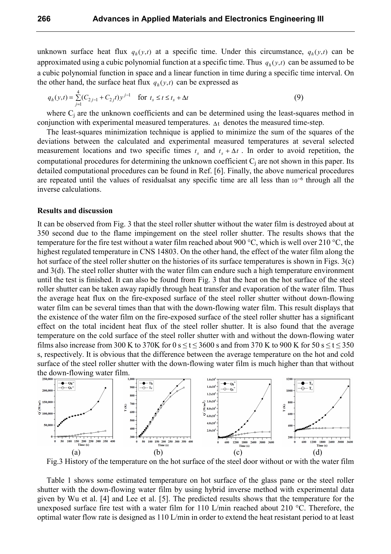unknown surface heat flux  $q_h(y,t)$  at a specific time. Under this circumstance,  $q_h(y,t)$  can be approximated using a cubic polynomial function at a specific time. Thus  $q_h(y,t)$  can be assumed to be a cubic polynomial function in space and a linear function in time during a specific time interval. On the other hand, the surface heat flux  $q_h(y,t)$  can be expressed as

$$
q_h(y,t) = \sum_{j=1}^4 (C_{2j-1} + C_{2j}t)y^{j-1} \quad \text{for } t_s \le t \le t_s + \Delta t \tag{9}
$$

where  $C_j$  are the unknown coefficients and can be determined using the least-squares method in conjunction with experimental measured temperatures. ∆t denotes the measured time-step.

The least-squares minimization technique is applied to minimize the sum of the squares of the deviations between the calculated and experimental measured temperatures at several selected measurement locations and two specific times  $t_s$  and  $t_s + \Delta t$ . In order to avoid repetition, the computational procedures for determining the unknown coefficient  $C_j$  are not shown in this paper. Its detailed computational procedures can be found in Ref. [6]. Finally, the above numerical procedures are repeated until the values of residualsat any specific time are all less than  $10^{-6}$  through all the inverse calculations.

#### **Results and discussion**

It can be observed from Fig. 3 that the steel roller shutter without the water film is destroyed about at 350 second due to the flame impingement on the steel roller shutter. The results shows that the temperature for the fire test without a water film reached about 900  $\degree$ C, which is well over 210  $\degree$ C, the highest regulated temperature in CNS 14803. On the other hand, the effect of the water film along the hot surface of the steel roller shutter on the histories of its surface temperatures is shown in Figs. 3(c) and 3(d). The steel roller shutter with the water film can endure such a high temperature environment until the test is finished. It can also be found from Fig. 3 that the heat on the hot surface of the steel roller shutter can be taken away rapidly through heat transfer and evaporation of the water film. Thus the average heat flux on the fire-exposed surface of the steel roller shutter without down-flowing water film can be several times than that with the down-flowing water film. This result displays that the existence of the water film on the fire-exposed surface of the steel roller shutter has a significant effect on the total incident heat flux of the steel roller shutter. It is also found that the average temperature on the cold surface of the steel roller shutter with and without the down-flowing water films also increase from 300 K to 370K for  $0 s \le t \le 3600 s$  and from 370 K to 900 K for 50  $s \le t \le 350$ s, respectively. It is obvious that the difference between the average temperature on the hot and cold surface of the steel roller shutter with the down-flowing water film is much higher than that without the down-flowing water film.



Fig.3 History of the temperature on the hot surface of the steel door without or with the water film

Table 1 shows some estimated temperature on hot surface of the glass pane or the steel roller shutter with the down-flowing water film by using hybrid inverse method with experimental data given by Wu et al. [4] and Lee et al. [5]. The predicted results shows that the temperature for the unexposed surface fire test with a water film for 110 L/min reached about 210 °C. Therefore, the optimal water flow rate is designed as 110 L/min in order to extend the heat resistant period to at least